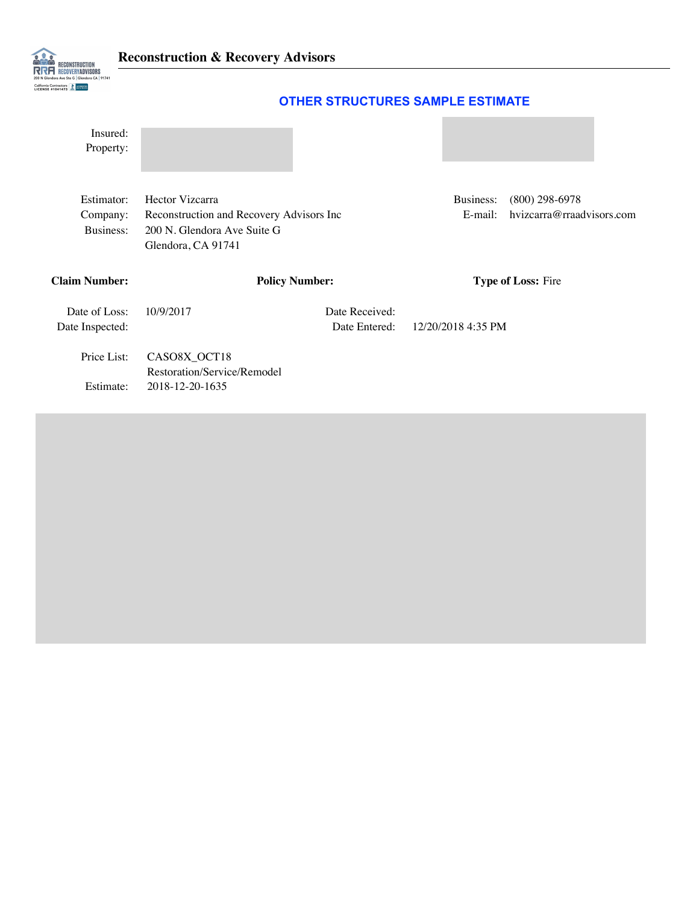

## **OTHER STRUCTURES SAMPLE ESTIMATE**

| Insured:<br>Property:               |                                                                                                                  |                                 |                      |                                               |  |  |
|-------------------------------------|------------------------------------------------------------------------------------------------------------------|---------------------------------|----------------------|-----------------------------------------------|--|--|
| Estimator:<br>Company:<br>Business: | Hector Vizcarra<br>Reconstruction and Recovery Advisors Inc<br>200 N. Glendora Ave Suite G<br>Glendora, CA 91741 |                                 | Business:<br>E-mail: | $(800)$ 298-6978<br>hvizcarra@rraadvisors.com |  |  |
| Claim Number:                       |                                                                                                                  | <b>Policy Number:</b>           |                      | Type of Loss: Fire                            |  |  |
| Date of Loss:<br>Date Inspected:    | 10/9/2017                                                                                                        | Date Received:<br>Date Entered: | 12/20/2018 4:35 PM   |                                               |  |  |
| Price List:                         | CASO8X_OCT18<br>Restoration/Service/Remodel                                                                      |                                 |                      |                                               |  |  |
| Estimate:                           | 2018-12-20-1635                                                                                                  |                                 |                      |                                               |  |  |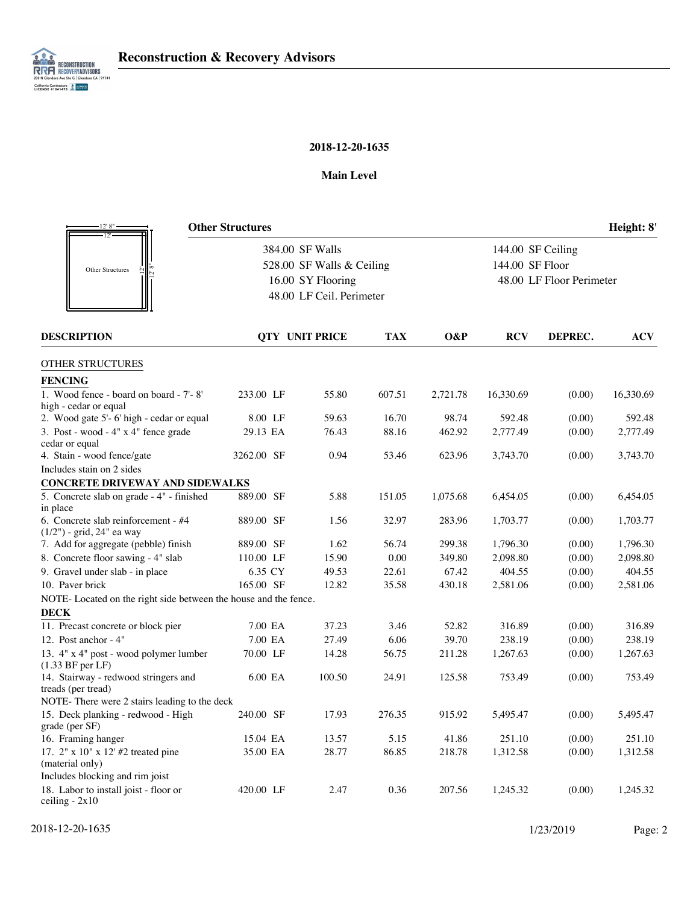

## **2018-12-20-1635**

#### **Main Level**

| 12' 8"                                                               | <b>Other Structures</b>                                                                       |        |            |                                                                  |            |         | Height: 8' |
|----------------------------------------------------------------------|-----------------------------------------------------------------------------------------------|--------|------------|------------------------------------------------------------------|------------|---------|------------|
|                                                                      | 384.00 SF Walls<br>528.00 SF Walls & Ceiling<br>16.00 SY Flooring<br>48.00 LF Ceil. Perimeter |        |            | 144.00 SF Ceiling<br>144.00 SF Floor<br>48.00 LF Floor Perimeter |            |         |            |
|                                                                      |                                                                                               |        |            |                                                                  |            |         |            |
| Other Structures                                                     |                                                                                               |        |            |                                                                  |            |         |            |
|                                                                      |                                                                                               |        |            |                                                                  |            |         |            |
|                                                                      |                                                                                               |        |            |                                                                  |            |         |            |
| <b>DESCRIPTION</b>                                                   | <b>OTY UNIT PRICE</b>                                                                         |        | <b>TAX</b> | O&P                                                              | <b>RCV</b> | DEPREC. | <b>ACV</b> |
| OTHER STRUCTURES                                                     |                                                                                               |        |            |                                                                  |            |         |            |
| <b>FENCING</b>                                                       |                                                                                               |        |            |                                                                  |            |         |            |
| 1. Wood fence - board on board - 7'-8'<br>high - cedar or equal      | 233.00 LF                                                                                     | 55.80  | 607.51     | 2,721.78                                                         | 16,330.69  | (0.00)  | 16,330.69  |
| 2. Wood gate 5'-6' high - cedar or equal                             | 8.00 LF                                                                                       | 59.63  | 16.70      | 98.74                                                            | 592.48     | (0.00)  | 592.48     |
| 3. Post - wood - 4" x 4" fence grade<br>cedar or equal               | 29.13 EA                                                                                      | 76.43  | 88.16      | 462.92                                                           | 2,777.49   | (0.00)  | 2,777.49   |
| 4. Stain - wood fence/gate                                           | 3262.00 SF                                                                                    | 0.94   | 53.46      | 623.96                                                           | 3,743.70   | (0.00)  | 3,743.70   |
| Includes stain on 2 sides                                            |                                                                                               |        |            |                                                                  |            |         |            |
| <b>CONCRETE DRIVEWAY AND SIDEWALKS</b>                               |                                                                                               |        |            |                                                                  |            |         |            |
| 5. Concrete slab on grade - 4" - finished                            | 889.00 SF                                                                                     | 5.88   | 151.05     | 1,075.68                                                         | 6,454.05   | (0.00)  | 6,454.05   |
| in place                                                             |                                                                                               |        |            |                                                                  |            |         |            |
| 6. Concrete slab reinforcement - #4<br>$(1/2")$ - grid, 24" ea way   | 889.00 SF                                                                                     | 1.56   | 32.97      | 283.96                                                           | 1,703.77   | (0.00)  | 1,703.77   |
| 7. Add for aggregate (pebble) finish                                 | 889.00 SF                                                                                     | 1.62   | 56.74      | 299.38                                                           | 1,796.30   | (0.00)  | 1,796.30   |
| 8. Concrete floor sawing - 4" slab                                   | 110.00 LF                                                                                     | 15.90  | 0.00       | 349.80                                                           | 2,098.80   | (0.00)  | 2,098.80   |
| 9. Gravel under slab - in place                                      | 6.35 CY                                                                                       | 49.53  | 22.61      | 67.42                                                            | 404.55     | (0.00)  | 404.55     |
| 10. Paver brick                                                      | 165.00 SF                                                                                     | 12.82  | 35.58      | 430.18                                                           | 2,581.06   | (0.00)  | 2,581.06   |
| NOTE- Located on the right side between the house and the fence.     |                                                                                               |        |            |                                                                  |            |         |            |
| <b>DECK</b>                                                          |                                                                                               |        |            |                                                                  |            |         |            |
| 11. Precast concrete or block pier                                   | 7.00 EA                                                                                       | 37.23  | 3.46       | 52.82                                                            | 316.89     | (0.00)  | 316.89     |
| 12. Post anchor - 4"                                                 | 7.00 EA                                                                                       | 27.49  | 6.06       | 39.70                                                            | 238.19     | (0.00)  | 238.19     |
| 13. 4" x 4" post - wood polymer lumber<br>$(1.33 \text{ BF per LF})$ | 70.00 LF                                                                                      | 14.28  | 56.75      | 211.28                                                           | 1,267.63   | (0.00)  | 1,267.63   |
| 14. Stairway - redwood stringers and<br>treads (per tread)           | 6.00 EA                                                                                       | 100.50 | 24.91      | 125.58                                                           | 753.49     | (0.00)  | 753.49     |
| NOTE- There were 2 stairs leading to the deck                        |                                                                                               |        |            |                                                                  |            |         |            |
| 15. Deck planking - redwood - High<br>grade (per SF)                 | 240.00 SF                                                                                     | 17.93  | 276.35     | 915.92                                                           | 5,495.47   | (0.00)  | 5,495.47   |
| 16. Framing hanger                                                   | 15.04 EA                                                                                      | 13.57  | 5.15       | 41.86                                                            | 251.10     | (0.00)  | 251.10     |
| 17. 2" x 10" x 12' #2 treated pine<br>(material only)                | 35.00 EA                                                                                      | 28.77  | 86.85      | 218.78                                                           | 1,312.58   | (0.00)  | 1,312.58   |
| Includes blocking and rim joist                                      |                                                                                               |        |            |                                                                  |            |         |            |
| 18. Labor to install joist - floor or<br>ceiling $-2x10$             | 420.00 LF                                                                                     | 2.47   | 0.36       | 207.56                                                           | 1,245.32   | (0.00)  | 1,245.32   |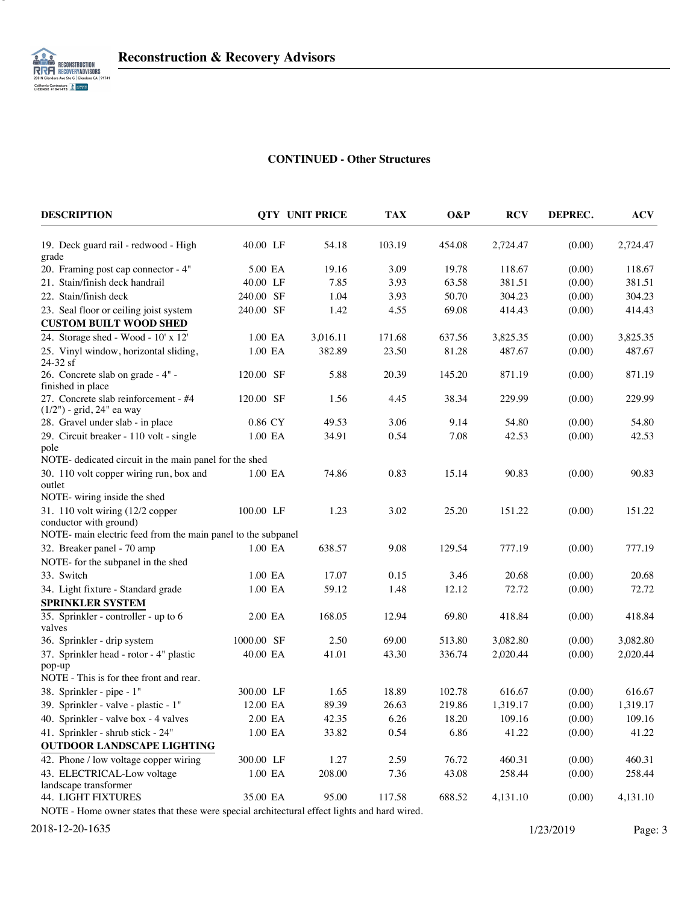

3

### **CONTINUED - Other Structures**

| 40.00 LF<br>54.18<br>103.19<br>454.08<br>2,724.47<br>(0.00)<br>19. Deck guard rail - redwood - High<br>grade<br>20. Framing post cap connector - 4"<br>19.16<br>3.09<br>19.78<br>118.67<br>(0.00)<br>5.00 EA<br>21. Stain/finish deck handrail<br>7.85<br>3.93<br>63.58<br>381.51<br>(0.00)<br>40.00 LF<br>240.00 SF<br>1.04<br>3.93<br>50.70<br>(0.00)<br>22. Stain/finish deck<br>304.23<br>240.00 SF<br>1.42<br>4.55<br>69.08<br>(0.00)<br>23. Seal floor or ceiling joist system<br>414.43<br><b>CUSTOM BUILT WOOD SHED</b> | 2,724.47<br>118.67<br>381.51<br>304.23<br>414.43<br>3,825.35<br>487.67<br>871.19<br>229.99 |
|---------------------------------------------------------------------------------------------------------------------------------------------------------------------------------------------------------------------------------------------------------------------------------------------------------------------------------------------------------------------------------------------------------------------------------------------------------------------------------------------------------------------------------|--------------------------------------------------------------------------------------------|
|                                                                                                                                                                                                                                                                                                                                                                                                                                                                                                                                 |                                                                                            |
|                                                                                                                                                                                                                                                                                                                                                                                                                                                                                                                                 |                                                                                            |
|                                                                                                                                                                                                                                                                                                                                                                                                                                                                                                                                 |                                                                                            |
|                                                                                                                                                                                                                                                                                                                                                                                                                                                                                                                                 |                                                                                            |
|                                                                                                                                                                                                                                                                                                                                                                                                                                                                                                                                 |                                                                                            |
|                                                                                                                                                                                                                                                                                                                                                                                                                                                                                                                                 |                                                                                            |
| 24. Storage shed - Wood - 10' x 12'<br>1.00 EA<br>3,016.11<br>171.68<br>637.56<br>3,825.35<br>(0.00)                                                                                                                                                                                                                                                                                                                                                                                                                            |                                                                                            |
| 25. Vinyl window, horizontal sliding,<br>1.00 EA<br>382.89<br>23.50<br>81.28<br>487.67<br>(0.00)                                                                                                                                                                                                                                                                                                                                                                                                                                |                                                                                            |
| 24-32 sf                                                                                                                                                                                                                                                                                                                                                                                                                                                                                                                        |                                                                                            |
| 26. Concrete slab on grade - 4" -<br>120.00 SF<br>5.88<br>20.39<br>145.20<br>871.19<br>(0.00)<br>finished in place                                                                                                                                                                                                                                                                                                                                                                                                              |                                                                                            |
| 1.56<br>27. Concrete slab reinforcement - #4<br>120.00 SF<br>4.45<br>38.34<br>229.99<br>(0.00)<br>(1/2") - grid, 24" ea way                                                                                                                                                                                                                                                                                                                                                                                                     |                                                                                            |
| 28. Gravel under slab - in place<br>0.86 CY<br>49.53<br>3.06<br>9.14<br>54.80<br>(0.00)                                                                                                                                                                                                                                                                                                                                                                                                                                         | 54.80                                                                                      |
| 29. Circuit breaker - 110 volt - single<br>0.54<br>7.08<br>42.53<br>(0.00)<br>1.00 EA<br>34.91<br>pole                                                                                                                                                                                                                                                                                                                                                                                                                          | 42.53                                                                                      |
| NOTE- dedicated circuit in the main panel for the shed                                                                                                                                                                                                                                                                                                                                                                                                                                                                          |                                                                                            |
| 30. 110 volt copper wiring run, box and<br>74.86<br>0.83<br>15.14<br>1.00 EA<br>90.83<br>(0.00)<br>outlet                                                                                                                                                                                                                                                                                                                                                                                                                       | 90.83                                                                                      |
| NOTE- wiring inside the shed                                                                                                                                                                                                                                                                                                                                                                                                                                                                                                    |                                                                                            |
| 31. 110 volt wiring (12/2 copper<br>1.23<br>3.02<br>25.20<br>100.00 LF<br>151.22<br>(0.00)<br>conductor with ground)                                                                                                                                                                                                                                                                                                                                                                                                            | 151.22                                                                                     |
| NOTE- main electric feed from the main panel to the subpanel                                                                                                                                                                                                                                                                                                                                                                                                                                                                    |                                                                                            |
| 32. Breaker panel - 70 amp<br>1.00 EA<br>638.57<br>9.08<br>129.54<br>777.19<br>(0.00)                                                                                                                                                                                                                                                                                                                                                                                                                                           | 777.19                                                                                     |
| NOTE- for the subpanel in the shed                                                                                                                                                                                                                                                                                                                                                                                                                                                                                              |                                                                                            |
| 33. Switch<br>1.00 EA<br>17.07<br>0.15<br>3.46<br>20.68<br>(0.00)                                                                                                                                                                                                                                                                                                                                                                                                                                                               | 20.68                                                                                      |
| 12.12<br>72.72<br>34. Light fixture - Standard grade<br>1.00 EA<br>59.12<br>1.48<br>(0.00)                                                                                                                                                                                                                                                                                                                                                                                                                                      | 72.72                                                                                      |
| <b>SPRINKLER SYSTEM</b>                                                                                                                                                                                                                                                                                                                                                                                                                                                                                                         |                                                                                            |
| 35. Sprinkler - controller - up to 6<br>2.00 EA<br>168.05<br>12.94<br>69.80<br>418.84<br>(0.00)<br>valves                                                                                                                                                                                                                                                                                                                                                                                                                       | 418.84                                                                                     |
| 1000.00 SF<br>36. Sprinkler - drip system<br>2.50<br>69.00<br>513.80<br>3,082.80<br>(0.00)                                                                                                                                                                                                                                                                                                                                                                                                                                      | 3,082.80                                                                                   |
| 37. Sprinkler head - rotor - 4" plastic<br>40.00 EA<br>41.01<br>336.74<br>43.30<br>2,020.44<br>(0.00)                                                                                                                                                                                                                                                                                                                                                                                                                           | 2,020.44                                                                                   |
| pop-up<br>NOTE - This is for thee front and rear.                                                                                                                                                                                                                                                                                                                                                                                                                                                                               |                                                                                            |
| 38. Sprinkler - pipe - 1"<br>300.00 LF<br>1.65<br>18.89<br>102.78<br>616.67<br>(0.00)                                                                                                                                                                                                                                                                                                                                                                                                                                           | 616.67                                                                                     |
| 39. Sprinkler - valve - plastic - 1"<br>12.00 EA<br>89.39<br>26.63<br>219.86<br>1,319.17<br>(0.00)                                                                                                                                                                                                                                                                                                                                                                                                                              | 1,319.17                                                                                   |
| 2.00 EA<br>42.35<br>6.26<br>18.20<br>109.16<br>(0.00)<br>40. Sprinkler - valve box - 4 valves                                                                                                                                                                                                                                                                                                                                                                                                                                   | 109.16                                                                                     |
| 41. Sprinkler - shrub stick - 24"<br>33.82<br>(0.00)<br>1.00 EA<br>0.54<br>6.86<br>41.22                                                                                                                                                                                                                                                                                                                                                                                                                                        | 41.22                                                                                      |
| <b>OUTDOOR LANDSCAPE LIGHTING</b>                                                                                                                                                                                                                                                                                                                                                                                                                                                                                               |                                                                                            |
| 42. Phone / low voltage copper wiring<br>2.59<br>76.72<br>460.31<br>(0.00)<br>300.00 LF<br>1.27                                                                                                                                                                                                                                                                                                                                                                                                                                 | 460.31                                                                                     |
| 43. ELECTRICAL-Low voltage<br>1.00 EA<br>208.00<br>43.08<br>258.44<br>(0.00)<br>7.36<br>landscape transformer                                                                                                                                                                                                                                                                                                                                                                                                                   | 258.44                                                                                     |
| 44. LIGHT FIXTURES<br>95.00<br>688.52<br>35.00 EA<br>117.58<br>4,131.10<br>(0.00)                                                                                                                                                                                                                                                                                                                                                                                                                                               | 4,131.10                                                                                   |

NOTE - Home owner states that these were special architectural effect lights and hard wired.

2018-12-20-1635 1/23/2019 Page: 3